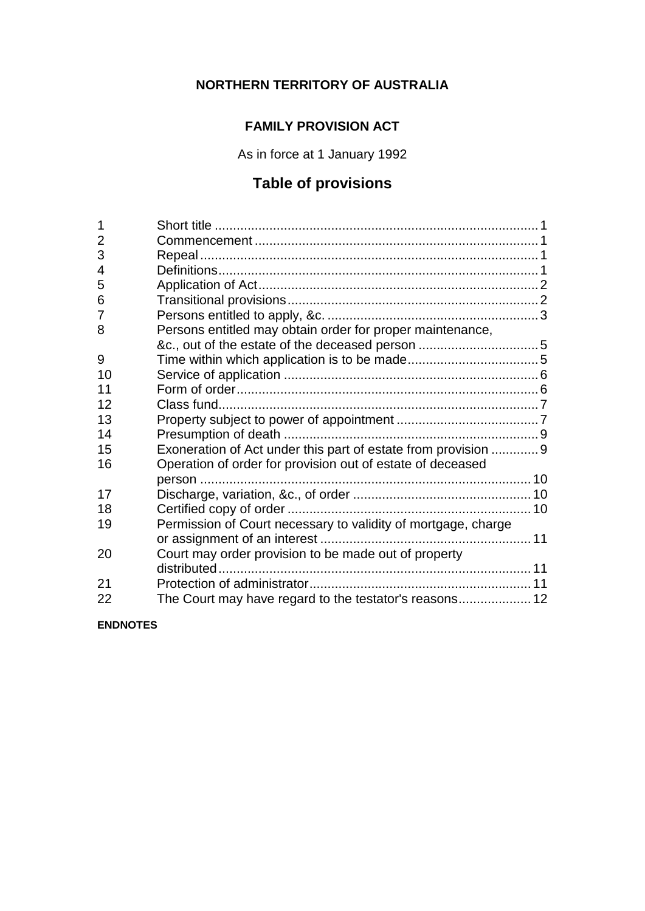# **NORTHERN TERRITORY OF AUSTRALIA**

## **FAMILY PROVISION ACT**

As in force at 1 January 1992

# **Table of provisions**

| 1              |                                                                |  |
|----------------|----------------------------------------------------------------|--|
| $\overline{2}$ |                                                                |  |
| 3              |                                                                |  |
| 4              |                                                                |  |
| 5              |                                                                |  |
| 6              |                                                                |  |
| 7              |                                                                |  |
| 8              | Persons entitled may obtain order for proper maintenance,      |  |
|                |                                                                |  |
| 9              |                                                                |  |
| 10             |                                                                |  |
| 11             |                                                                |  |
| 12             |                                                                |  |
| 13             |                                                                |  |
| 14             |                                                                |  |
| 15             | Exoneration of Act under this part of estate from provision  9 |  |
| 16             | Operation of order for provision out of estate of deceased     |  |
|                |                                                                |  |
| 17             |                                                                |  |
| 18             |                                                                |  |
| 19             | Permission of Court necessary to validity of mortgage, charge  |  |
|                |                                                                |  |
| 20             | Court may order provision to be made out of property           |  |
|                |                                                                |  |
| 21             |                                                                |  |
| 22             | The Court may have regard to the testator's reasons 12         |  |
|                |                                                                |  |

**ENDNOTES**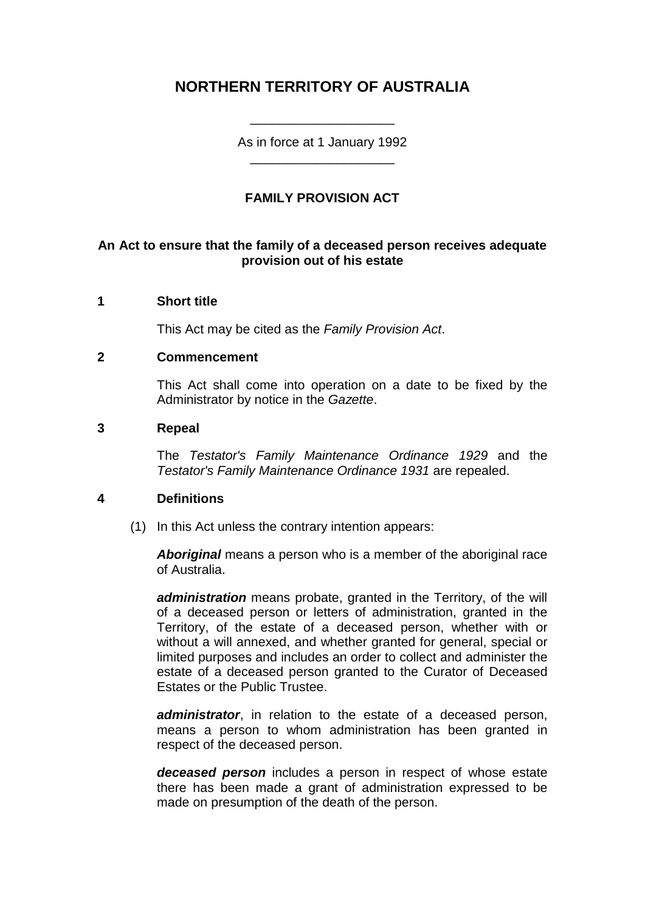## **NORTHERN TERRITORY OF AUSTRALIA**

As in force at 1 January 1992 \_\_\_\_\_\_\_\_\_\_\_\_\_\_\_\_\_\_\_\_

\_\_\_\_\_\_\_\_\_\_\_\_\_\_\_\_\_\_\_\_

## **FAMILY PROVISION ACT**

## **An Act to ensure that the family of a deceased person receives adequate provision out of his estate**

## **1 Short title**

This Act may be cited as the *Family Provision Act*.

#### **2 Commencement**

This Act shall come into operation on a date to be fixed by the Administrator by notice in the *Gazette*.

#### **3 Repeal**

The *Testator's Family Maintenance Ordinance 1929* and the *Testator's Family Maintenance Ordinance 1931* are repealed.

## **4 Definitions**

(1) In this Act unless the contrary intention appears:

*Aboriginal* means a person who is a member of the aboriginal race of Australia.

*administration* means probate, granted in the Territory, of the will of a deceased person or letters of administration, granted in the Territory, of the estate of a deceased person, whether with or without a will annexed, and whether granted for general, special or limited purposes and includes an order to collect and administer the estate of a deceased person granted to the Curator of Deceased Estates or the Public Trustee.

*administrator*, in relation to the estate of a deceased person, means a person to whom administration has been granted in respect of the deceased person.

*deceased person* includes a person in respect of whose estate there has been made a grant of administration expressed to be made on presumption of the death of the person.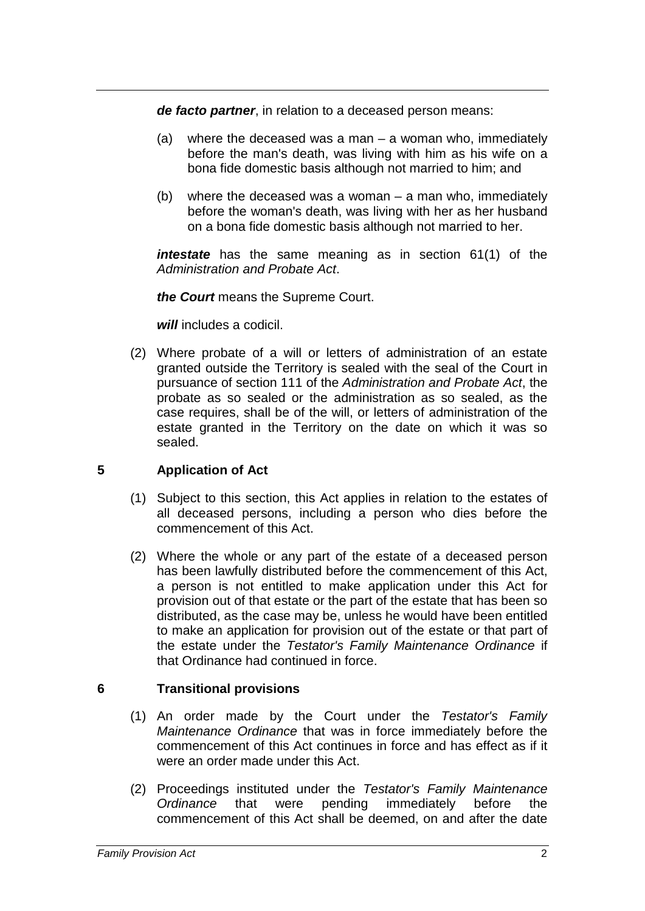*de facto partner*, in relation to a deceased person means:

- (a) where the deceased was a man a woman who, immediately before the man's death, was living with him as his wife on a bona fide domestic basis although not married to him; and
- (b) where the deceased was a woman a man who, immediately before the woman's death, was living with her as her husband on a bona fide domestic basis although not married to her.

*intestate* has the same meaning as in section 61(1) of the *Administration and Probate Act*.

*the Court* means the Supreme Court.

*will* includes a codicil.

(2) Where probate of a will or letters of administration of an estate granted outside the Territory is sealed with the seal of the Court in pursuance of section 111 of the *Administration and Probate Act*, the probate as so sealed or the administration as so sealed, as the case requires, shall be of the will, or letters of administration of the estate granted in the Territory on the date on which it was so sealed.

## **5 Application of Act**

- (1) Subject to this section, this Act applies in relation to the estates of all deceased persons, including a person who dies before the commencement of this Act.
- (2) Where the whole or any part of the estate of a deceased person has been lawfully distributed before the commencement of this Act, a person is not entitled to make application under this Act for provision out of that estate or the part of the estate that has been so distributed, as the case may be, unless he would have been entitled to make an application for provision out of the estate or that part of the estate under the *Testator's Family Maintenance Ordinance* if that Ordinance had continued in force.

## **6 Transitional provisions**

- (1) An order made by the Court under the *Testator's Family Maintenance Ordinance* that was in force immediately before the commencement of this Act continues in force and has effect as if it were an order made under this Act.
- (2) Proceedings instituted under the *Testator's Family Maintenance Ordinance* that were pending immediately before the commencement of this Act shall be deemed, on and after the date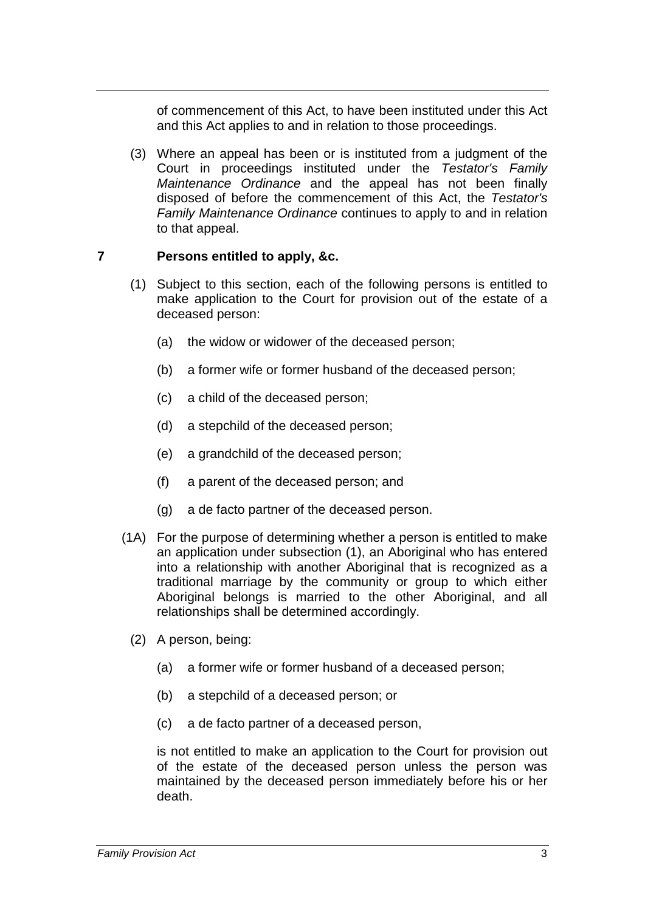of commencement of this Act, to have been instituted under this Act and this Act applies to and in relation to those proceedings.

(3) Where an appeal has been or is instituted from a judgment of the Court in proceedings instituted under the *Testator's Family Maintenance Ordinance* and the appeal has not been finally disposed of before the commencement of this Act, the *Testator's Family Maintenance Ordinance* continues to apply to and in relation to that appeal.

## **7 Persons entitled to apply, &c.**

- (1) Subject to this section, each of the following persons is entitled to make application to the Court for provision out of the estate of a deceased person:
	- (a) the widow or widower of the deceased person;
	- (b) a former wife or former husband of the deceased person;
	- (c) a child of the deceased person;
	- (d) a stepchild of the deceased person;
	- (e) a grandchild of the deceased person;
	- (f) a parent of the deceased person; and
	- (g) a de facto partner of the deceased person.
- (1A) For the purpose of determining whether a person is entitled to make an application under subsection (1), an Aboriginal who has entered into a relationship with another Aboriginal that is recognized as a traditional marriage by the community or group to which either Aboriginal belongs is married to the other Aboriginal, and all relationships shall be determined accordingly.
	- (2) A person, being:
		- (a) a former wife or former husband of a deceased person;
		- (b) a stepchild of a deceased person; or
		- (c) a de facto partner of a deceased person,

is not entitled to make an application to the Court for provision out of the estate of the deceased person unless the person was maintained by the deceased person immediately before his or her death.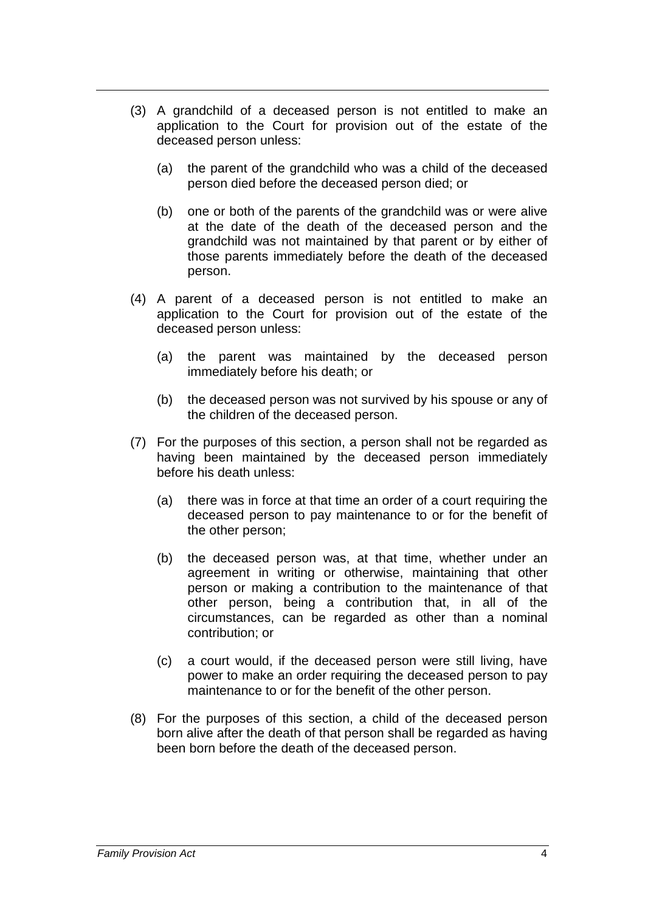- (3) A grandchild of a deceased person is not entitled to make an application to the Court for provision out of the estate of the deceased person unless:
	- (a) the parent of the grandchild who was a child of the deceased person died before the deceased person died; or
	- (b) one or both of the parents of the grandchild was or were alive at the date of the death of the deceased person and the grandchild was not maintained by that parent or by either of those parents immediately before the death of the deceased person.
- (4) A parent of a deceased person is not entitled to make an application to the Court for provision out of the estate of the deceased person unless:
	- (a) the parent was maintained by the deceased person immediately before his death; or
	- (b) the deceased person was not survived by his spouse or any of the children of the deceased person.
- (7) For the purposes of this section, a person shall not be regarded as having been maintained by the deceased person immediately before his death unless:
	- (a) there was in force at that time an order of a court requiring the deceased person to pay maintenance to or for the benefit of the other person;
	- (b) the deceased person was, at that time, whether under an agreement in writing or otherwise, maintaining that other person or making a contribution to the maintenance of that other person, being a contribution that, in all of the circumstances, can be regarded as other than a nominal contribution; or
	- (c) a court would, if the deceased person were still living, have power to make an order requiring the deceased person to pay maintenance to or for the benefit of the other person.
- (8) For the purposes of this section, a child of the deceased person born alive after the death of that person shall be regarded as having been born before the death of the deceased person.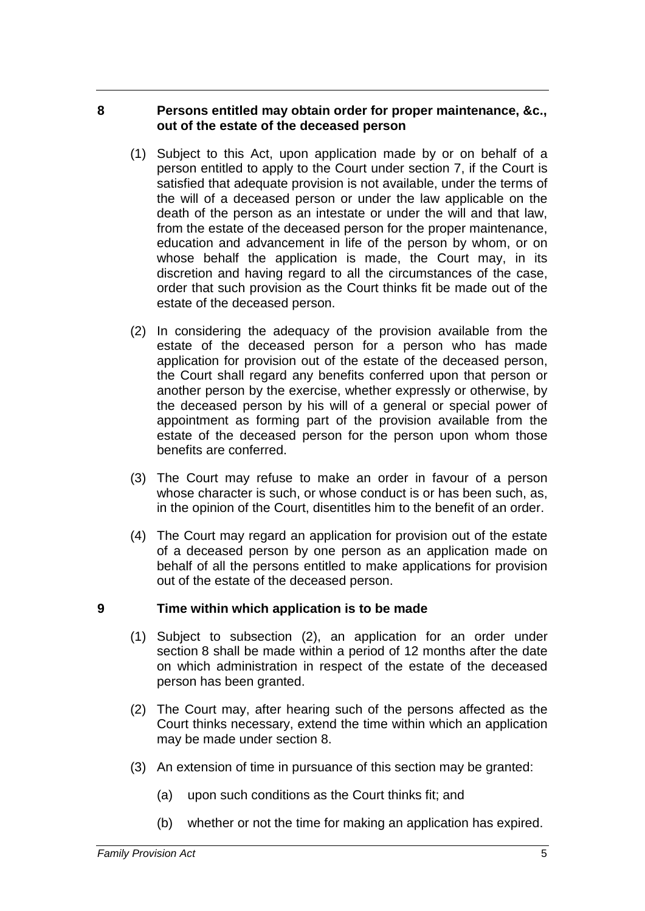## **8 Persons entitled may obtain order for proper maintenance, &c., out of the estate of the deceased person**

- (1) Subject to this Act, upon application made by or on behalf of a person entitled to apply to the Court under section 7, if the Court is satisfied that adequate provision is not available, under the terms of the will of a deceased person or under the law applicable on the death of the person as an intestate or under the will and that law, from the estate of the deceased person for the proper maintenance, education and advancement in life of the person by whom, or on whose behalf the application is made, the Court may, in its discretion and having regard to all the circumstances of the case, order that such provision as the Court thinks fit be made out of the estate of the deceased person.
- (2) In considering the adequacy of the provision available from the estate of the deceased person for a person who has made application for provision out of the estate of the deceased person, the Court shall regard any benefits conferred upon that person or another person by the exercise, whether expressly or otherwise, by the deceased person by his will of a general or special power of appointment as forming part of the provision available from the estate of the deceased person for the person upon whom those benefits are conferred.
- (3) The Court may refuse to make an order in favour of a person whose character is such, or whose conduct is or has been such, as, in the opinion of the Court, disentitles him to the benefit of an order.
- (4) The Court may regard an application for provision out of the estate of a deceased person by one person as an application made on behalf of all the persons entitled to make applications for provision out of the estate of the deceased person.

## **9 Time within which application is to be made**

- (1) Subject to subsection (2), an application for an order under section 8 shall be made within a period of 12 months after the date on which administration in respect of the estate of the deceased person has been granted.
- (2) The Court may, after hearing such of the persons affected as the Court thinks necessary, extend the time within which an application may be made under section 8.
- (3) An extension of time in pursuance of this section may be granted:
	- (a) upon such conditions as the Court thinks fit; and
	- (b) whether or not the time for making an application has expired.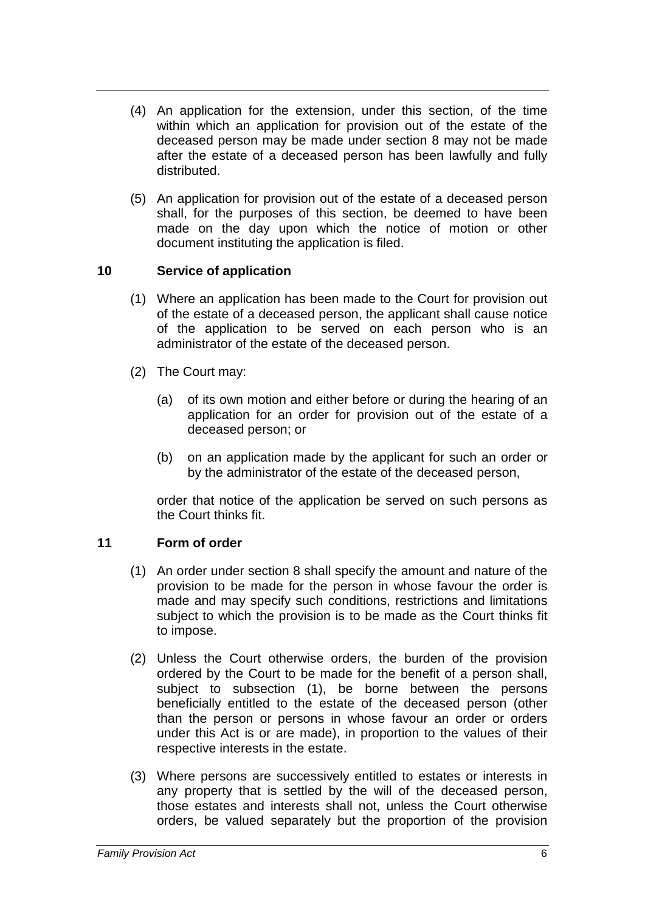- (4) An application for the extension, under this section, of the time within which an application for provision out of the estate of the deceased person may be made under section 8 may not be made after the estate of a deceased person has been lawfully and fully distributed.
- (5) An application for provision out of the estate of a deceased person shall, for the purposes of this section, be deemed to have been made on the day upon which the notice of motion or other document instituting the application is filed.

## **10 Service of application**

- (1) Where an application has been made to the Court for provision out of the estate of a deceased person, the applicant shall cause notice of the application to be served on each person who is an administrator of the estate of the deceased person.
- (2) The Court may:
	- (a) of its own motion and either before or during the hearing of an application for an order for provision out of the estate of a deceased person; or
	- (b) on an application made by the applicant for such an order or by the administrator of the estate of the deceased person,

order that notice of the application be served on such persons as the Court thinks fit.

## **11 Form of order**

- (1) An order under section 8 shall specify the amount and nature of the provision to be made for the person in whose favour the order is made and may specify such conditions, restrictions and limitations subject to which the provision is to be made as the Court thinks fit to impose.
- (2) Unless the Court otherwise orders, the burden of the provision ordered by the Court to be made for the benefit of a person shall, subject to subsection (1), be borne between the persons beneficially entitled to the estate of the deceased person (other than the person or persons in whose favour an order or orders under this Act is or are made), in proportion to the values of their respective interests in the estate.
- (3) Where persons are successively entitled to estates or interests in any property that is settled by the will of the deceased person, those estates and interests shall not, unless the Court otherwise orders, be valued separately but the proportion of the provision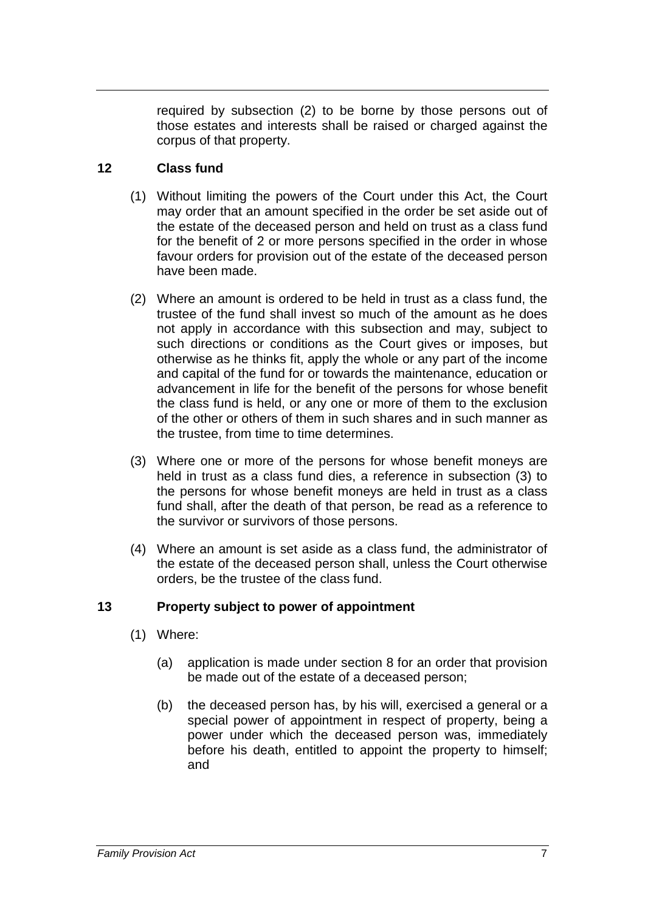required by subsection (2) to be borne by those persons out of those estates and interests shall be raised or charged against the corpus of that property.

## **12 Class fund**

- (1) Without limiting the powers of the Court under this Act, the Court may order that an amount specified in the order be set aside out of the estate of the deceased person and held on trust as a class fund for the benefit of 2 or more persons specified in the order in whose favour orders for provision out of the estate of the deceased person have been made.
- (2) Where an amount is ordered to be held in trust as a class fund, the trustee of the fund shall invest so much of the amount as he does not apply in accordance with this subsection and may, subject to such directions or conditions as the Court gives or imposes, but otherwise as he thinks fit, apply the whole or any part of the income and capital of the fund for or towards the maintenance, education or advancement in life for the benefit of the persons for whose benefit the class fund is held, or any one or more of them to the exclusion of the other or others of them in such shares and in such manner as the trustee, from time to time determines.
- (3) Where one or more of the persons for whose benefit moneys are held in trust as a class fund dies, a reference in subsection (3) to the persons for whose benefit moneys are held in trust as a class fund shall, after the death of that person, be read as a reference to the survivor or survivors of those persons.
- (4) Where an amount is set aside as a class fund, the administrator of the estate of the deceased person shall, unless the Court otherwise orders, be the trustee of the class fund.

## **13 Property subject to power of appointment**

- (1) Where:
	- (a) application is made under section 8 for an order that provision be made out of the estate of a deceased person;
	- (b) the deceased person has, by his will, exercised a general or a special power of appointment in respect of property, being a power under which the deceased person was, immediately before his death, entitled to appoint the property to himself; and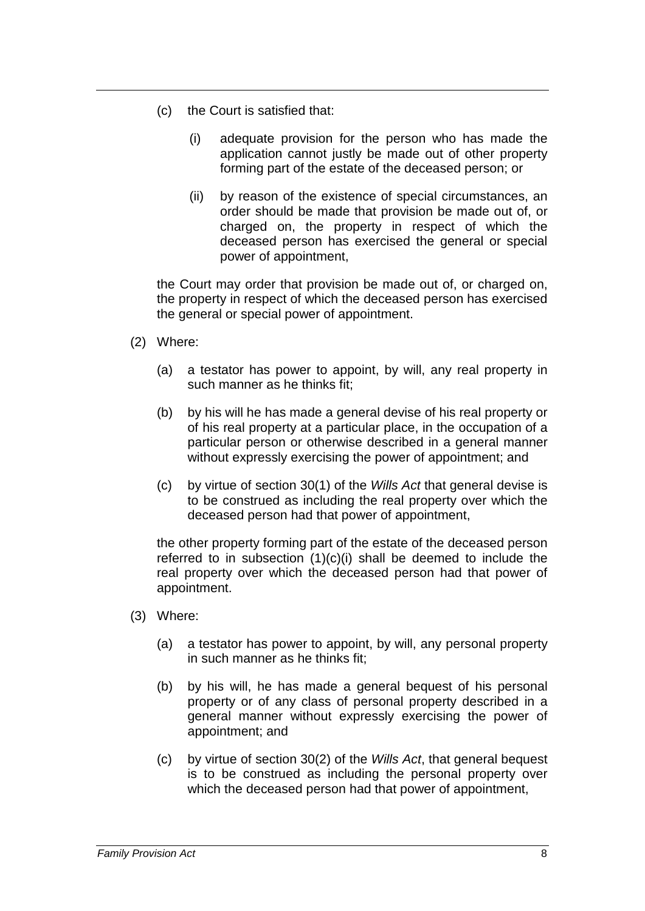- (c) the Court is satisfied that:
	- (i) adequate provision for the person who has made the application cannot justly be made out of other property forming part of the estate of the deceased person; or
	- (ii) by reason of the existence of special circumstances, an order should be made that provision be made out of, or charged on, the property in respect of which the deceased person has exercised the general or special power of appointment,

the Court may order that provision be made out of, or charged on, the property in respect of which the deceased person has exercised the general or special power of appointment.

- (2) Where:
	- (a) a testator has power to appoint, by will, any real property in such manner as he thinks fit;
	- (b) by his will he has made a general devise of his real property or of his real property at a particular place, in the occupation of a particular person or otherwise described in a general manner without expressly exercising the power of appointment; and
	- (c) by virtue of section 30(1) of the *Wills Act* that general devise is to be construed as including the real property over which the deceased person had that power of appointment,

the other property forming part of the estate of the deceased person referred to in subsection  $(1)(c)(i)$  shall be deemed to include the real property over which the deceased person had that power of appointment.

- (3) Where:
	- (a) a testator has power to appoint, by will, any personal property in such manner as he thinks fit;
	- (b) by his will, he has made a general bequest of his personal property or of any class of personal property described in a general manner without expressly exercising the power of appointment; and
	- (c) by virtue of section 30(2) of the *Wills Act*, that general bequest is to be construed as including the personal property over which the deceased person had that power of appointment,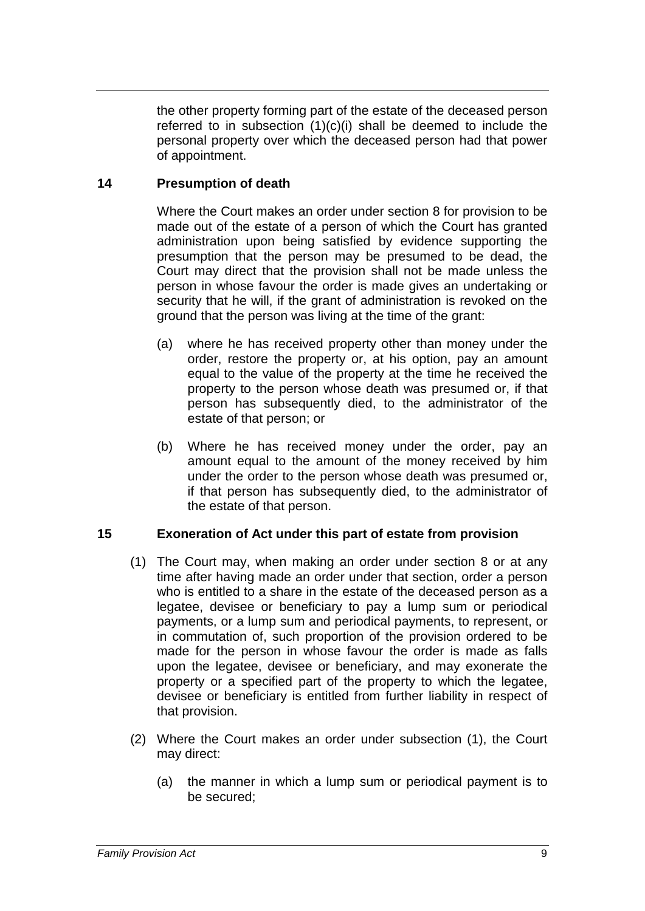the other property forming part of the estate of the deceased person referred to in subsection  $(1)(c)(i)$  shall be deemed to include the personal property over which the deceased person had that power of appointment.

## **14 Presumption of death**

Where the Court makes an order under section 8 for provision to be made out of the estate of a person of which the Court has granted administration upon being satisfied by evidence supporting the presumption that the person may be presumed to be dead, the Court may direct that the provision shall not be made unless the person in whose favour the order is made gives an undertaking or security that he will, if the grant of administration is revoked on the ground that the person was living at the time of the grant:

- (a) where he has received property other than money under the order, restore the property or, at his option, pay an amount equal to the value of the property at the time he received the property to the person whose death was presumed or, if that person has subsequently died, to the administrator of the estate of that person; or
- (b) Where he has received money under the order, pay an amount equal to the amount of the money received by him under the order to the person whose death was presumed or, if that person has subsequently died, to the administrator of the estate of that person.

## **15 Exoneration of Act under this part of estate from provision**

- (1) The Court may, when making an order under section 8 or at any time after having made an order under that section, order a person who is entitled to a share in the estate of the deceased person as a legatee, devisee or beneficiary to pay a lump sum or periodical payments, or a lump sum and periodical payments, to represent, or in commutation of, such proportion of the provision ordered to be made for the person in whose favour the order is made as falls upon the legatee, devisee or beneficiary, and may exonerate the property or a specified part of the property to which the legatee, devisee or beneficiary is entitled from further liability in respect of that provision.
- (2) Where the Court makes an order under subsection (1), the Court may direct:
	- (a) the manner in which a lump sum or periodical payment is to be secured;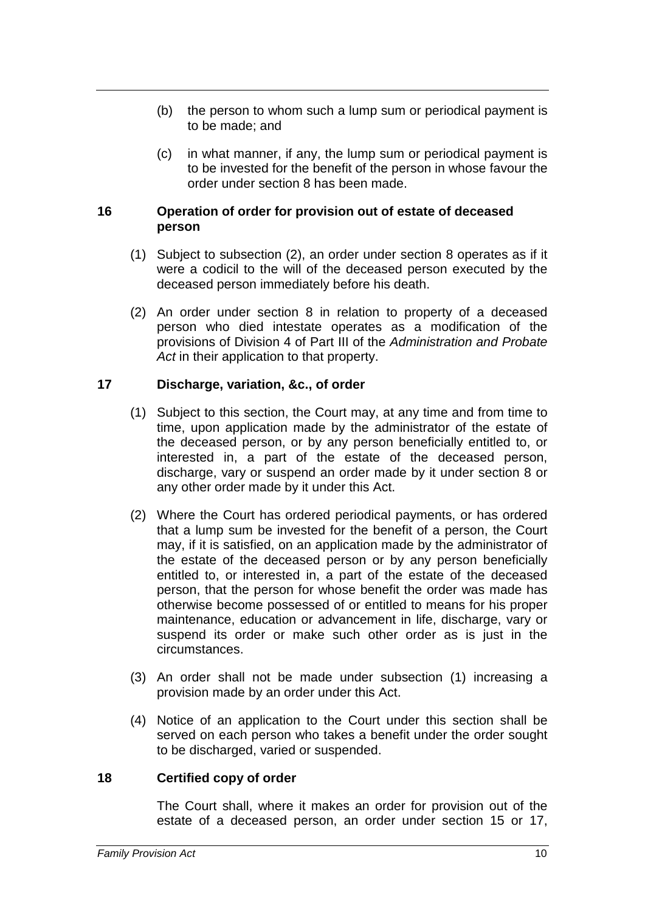- (b) the person to whom such a lump sum or periodical payment is to be made; and
- (c) in what manner, if any, the lump sum or periodical payment is to be invested for the benefit of the person in whose favour the order under section 8 has been made.

## **16 Operation of order for provision out of estate of deceased person**

- (1) Subject to subsection (2), an order under section 8 operates as if it were a codicil to the will of the deceased person executed by the deceased person immediately before his death.
- (2) An order under section 8 in relation to property of a deceased person who died intestate operates as a modification of the provisions of Division 4 of Part III of the *Administration and Probate Act* in their application to that property.

## **17 Discharge, variation, &c., of order**

- (1) Subject to this section, the Court may, at any time and from time to time, upon application made by the administrator of the estate of the deceased person, or by any person beneficially entitled to, or interested in, a part of the estate of the deceased person, discharge, vary or suspend an order made by it under section 8 or any other order made by it under this Act.
- (2) Where the Court has ordered periodical payments, or has ordered that a lump sum be invested for the benefit of a person, the Court may, if it is satisfied, on an application made by the administrator of the estate of the deceased person or by any person beneficially entitled to, or interested in, a part of the estate of the deceased person, that the person for whose benefit the order was made has otherwise become possessed of or entitled to means for his proper maintenance, education or advancement in life, discharge, vary or suspend its order or make such other order as is just in the circumstances.
- (3) An order shall not be made under subsection (1) increasing a provision made by an order under this Act.
- (4) Notice of an application to the Court under this section shall be served on each person who takes a benefit under the order sought to be discharged, varied or suspended.

## **18 Certified copy of order**

The Court shall, where it makes an order for provision out of the estate of a deceased person, an order under section 15 or 17,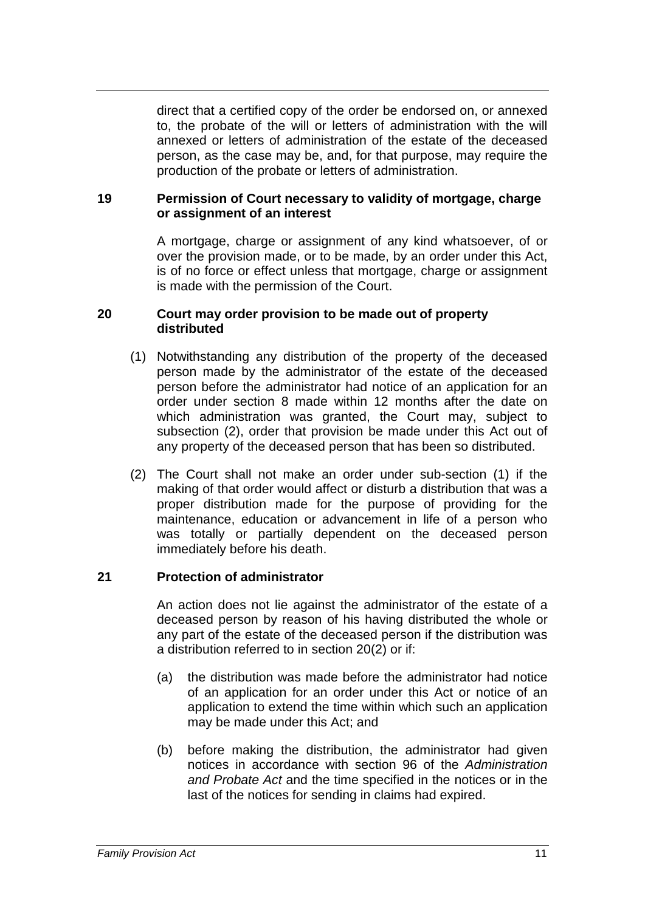direct that a certified copy of the order be endorsed on, or annexed to, the probate of the will or letters of administration with the will annexed or letters of administration of the estate of the deceased person, as the case may be, and, for that purpose, may require the production of the probate or letters of administration.

## **19 Permission of Court necessary to validity of mortgage, charge or assignment of an interest**

A mortgage, charge or assignment of any kind whatsoever, of or over the provision made, or to be made, by an order under this Act, is of no force or effect unless that mortgage, charge or assignment is made with the permission of the Court.

#### **20 Court may order provision to be made out of property distributed**

- (1) Notwithstanding any distribution of the property of the deceased person made by the administrator of the estate of the deceased person before the administrator had notice of an application for an order under section 8 made within 12 months after the date on which administration was granted, the Court may, subject to subsection (2), order that provision be made under this Act out of any property of the deceased person that has been so distributed.
- (2) The Court shall not make an order under sub-section (1) if the making of that order would affect or disturb a distribution that was a proper distribution made for the purpose of providing for the maintenance, education or advancement in life of a person who was totally or partially dependent on the deceased person immediately before his death.

## **21 Protection of administrator**

An action does not lie against the administrator of the estate of a deceased person by reason of his having distributed the whole or any part of the estate of the deceased person if the distribution was a distribution referred to in section 20(2) or if:

- (a) the distribution was made before the administrator had notice of an application for an order under this Act or notice of an application to extend the time within which such an application may be made under this Act; and
- (b) before making the distribution, the administrator had given notices in accordance with section 96 of the *Administration and Probate Act* and the time specified in the notices or in the last of the notices for sending in claims had expired.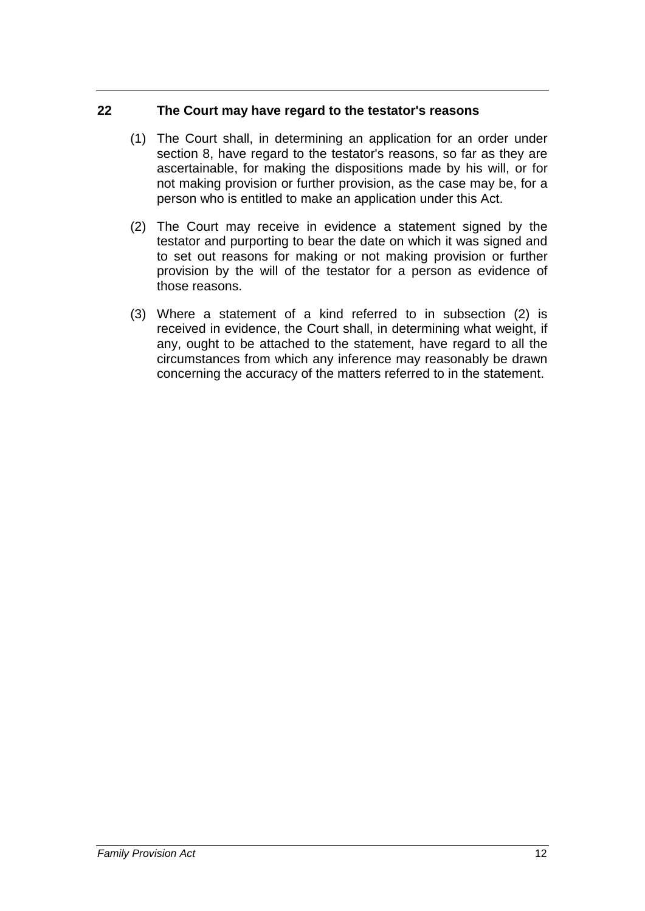## **22 The Court may have regard to the testator's reasons**

- (1) The Court shall, in determining an application for an order under section 8, have regard to the testator's reasons, so far as they are ascertainable, for making the dispositions made by his will, or for not making provision or further provision, as the case may be, for a person who is entitled to make an application under this Act.
- (2) The Court may receive in evidence a statement signed by the testator and purporting to bear the date on which it was signed and to set out reasons for making or not making provision or further provision by the will of the testator for a person as evidence of those reasons.
- (3) Where a statement of a kind referred to in subsection (2) is received in evidence, the Court shall, in determining what weight, if any, ought to be attached to the statement, have regard to all the circumstances from which any inference may reasonably be drawn concerning the accuracy of the matters referred to in the statement.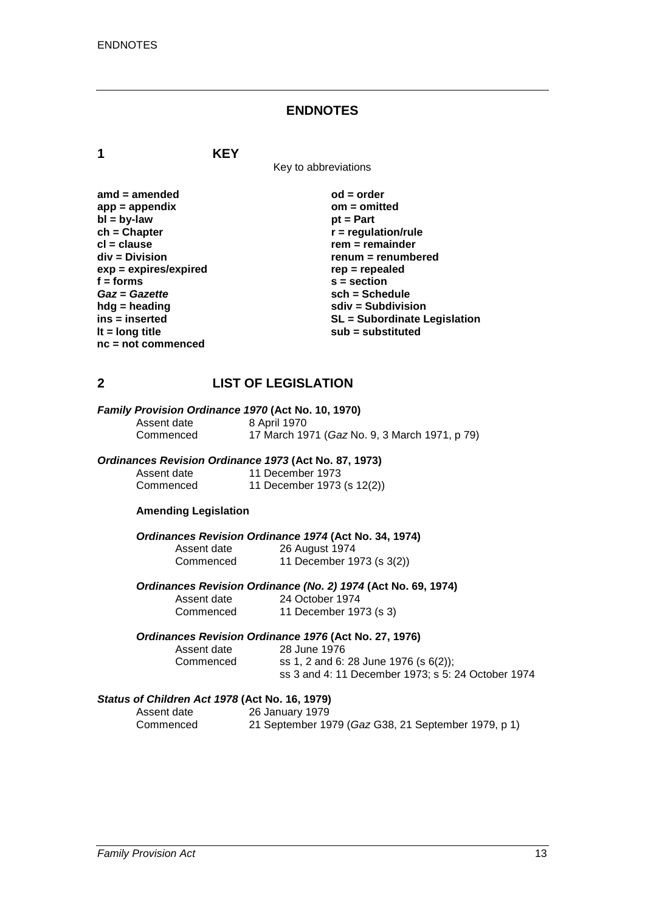#### **ENDNOTES**

**1 KEY**

Key to abbreviations

amd = amended od = order<br>
app = appendix **butch** on = omitted app = appendix<br>bl = by-law **bl = by-law** pt = Part **bl** = by-law<br>
ch = Chapter **ch = Chapter**<br> **cl** = clause **r** = regulation/rule<br> **r** = remainder **cl = clause rem = remainder**  $exp = expires/expired$ <br>**f** = forms *Gaz* = *Gazette*<br>hdg = heading **hdg = heading sdiv = Subdivision nc = not commenced**

**renum = renumbered**<br>rep = repealed **f**  $s =$  **section**<br>**sch** = Schedule **ins = inserted SL = Subordinate Legislation lt = long title sub = substituted**

## **2 LIST OF LEGISLATION**

# *Family Provision Ordinance 1970* **(Act No. 10, 1970)**

Assent date<br>Commenced

17 March 1971 (*Gaz* No. 9, 3 March 1971, p 79)

#### *Ordinances Revision Ordinance 1973* **(Act No. 87, 1973)**

| Assent date | 11 December 1973           |
|-------------|----------------------------|
| Commenced   | 11 December 1973 (s 12(2)) |

#### **Amending Legislation**

*Ordinances Revision Ordinance 1974* **(Act No. 34, 1974)**

| Assent date | 26 August 1974            |
|-------------|---------------------------|
| Commenced   | 11 December 1973 (s 3(2)) |

*Ordinances Revision Ordinance (No. 2) 1974* **(Act No. 69, 1974)**

Assent date 24 October 1974<br>Commenced 11 December 19 11 December 1973 (s 3)

#### *Ordinances Revision Ordinance 1976* **(Act No. 27, 1976)**

Assent date 28 June 1976 Commenced ss 1, 2 and 6: 28 June 1976 (s 6(2)); ss 3 and 4: 11 December 1973; s 5: 24 October 1974

# *Status of Children Act 1978* **(Act No. 16, 1979)**

26 January 1979 Commenced 21 September 1979 (*Gaz* G38, 21 September 1979, p 1)